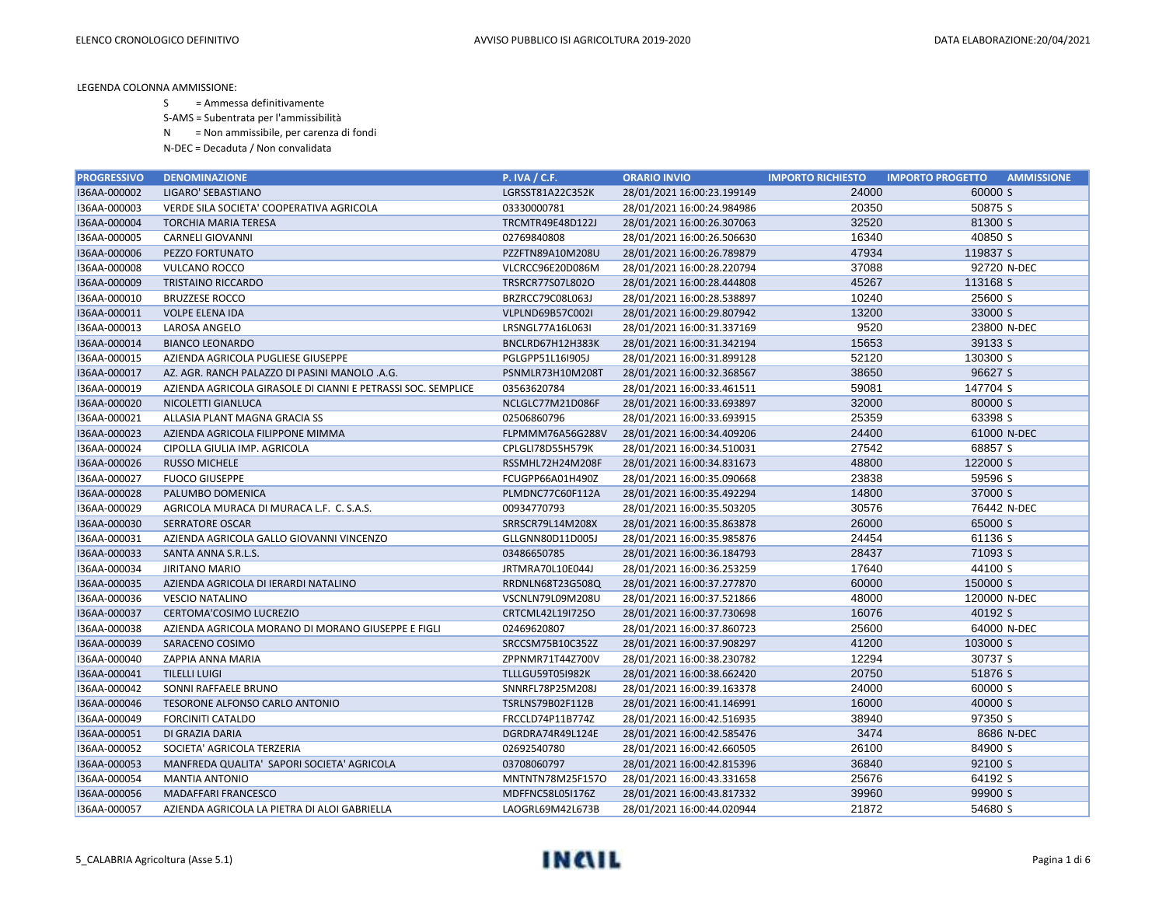S = Ammessa definitivamente

S-AMS = Subentrata per l'ammissibilità

N = Non ammissibile, per carenza di fondi

| <b>PROGRESSIVO</b> | <b>DENOMINAZIONE</b>                                         | <b>P. IVA / C.F.</b>    | <b>ORARIO INVIO</b>        | <b>IMPORTO RICHIESTO</b> | <b>IMPORTO PROGETTO</b><br><b>AMMISSIONE</b> |
|--------------------|--------------------------------------------------------------|-------------------------|----------------------------|--------------------------|----------------------------------------------|
| I36AA-000002       | LIGARO' SEBASTIANO                                           | LGRSST81A22C352K        | 28/01/2021 16:00:23.199149 | 24000                    | 60000 S                                      |
| I36AA-000003       | VERDE SILA SOCIETA' COOPERATIVA AGRICOLA                     | 03330000781             | 28/01/2021 16:00:24.984986 | 20350                    | 50875 S                                      |
| I36AA-000004       | <b>TORCHIA MARIA TERESA</b>                                  | TRCMTR49E48D122J        | 28/01/2021 16:00:26.307063 | 32520                    | 81300 S                                      |
| I36AA-000005       | <b>CARNELI GIOVANNI</b>                                      | 02769840808             | 28/01/2021 16:00:26.506630 | 16340                    | 40850 S                                      |
| I36AA-000006       | PEZZO FORTUNATO                                              | PZZFTN89A10M208U        | 28/01/2021 16:00:26.789879 | 47934                    | 119837 S                                     |
| I36AA-000008       | <b>VULCANO ROCCO</b>                                         | VLCRCC96E20D086M        | 28/01/2021 16:00:28.220794 | 37088                    | 92720 N-DEC                                  |
| I36AA-000009       | <b>TRISTAINO RICCARDO</b>                                    | TRSRCR77S07L802O        | 28/01/2021 16:00:28.444808 | 45267                    | 113168 S                                     |
| I36AA-000010       | <b>BRUZZESE ROCCO</b>                                        | BRZRCC79C08L063J        | 28/01/2021 16:00:28.538897 | 10240                    | 25600 S                                      |
| I36AA-000011       | <b>VOLPE ELENA IDA</b>                                       | VLPLND69B57C002I        | 28/01/2021 16:00:29.807942 | 13200                    | 33000 S                                      |
| I36AA-000013       | LAROSA ANGELO                                                | LRSNGL77A16L063I        | 28/01/2021 16:00:31.337169 | 9520                     | 23800 N-DEC                                  |
| I36AA-000014       | <b>BIANCO LEONARDO</b>                                       | BNCLRD67H12H383K        | 28/01/2021 16:00:31.342194 | 15653                    | 39133 S                                      |
| I36AA-000015       | AZIENDA AGRICOLA PUGLIESE GIUSEPPE                           | PGLGPP51L16I905J        | 28/01/2021 16:00:31.899128 | 52120                    | 130300 S                                     |
| I36AA-000017       | AZ. AGR. RANCH PALAZZO DI PASINI MANOLO .A.G.                | PSNMLR73H10M208T        | 28/01/2021 16:00:32.368567 | 38650                    | 96627 S                                      |
| I36AA-000019       | AZIENDA AGRICOLA GIRASOLE DI CIANNI E PETRASSI SOC. SEMPLICE | 03563620784             | 28/01/2021 16:00:33.461511 | 59081                    | 147704 S                                     |
| I36AA-000020       | NICOLETTI GIANLUCA                                           | NCLGLC77M21D086F        | 28/01/2021 16:00:33.693897 | 32000                    | 80000 S                                      |
| I36AA-000021       | ALLASIA PLANT MAGNA GRACIA SS                                | 02506860796             | 28/01/2021 16:00:33.693915 | 25359                    | 63398 S                                      |
| I36AA-000023       | AZIENDA AGRICOLA FILIPPONE MIMMA                             | FLPMMM76A56G288V        | 28/01/2021 16:00:34.409206 | 24400                    | 61000 N-DEC                                  |
| I36AA-000024       | CIPOLLA GIULIA IMP. AGRICOLA                                 | CPLGLI78D55H579K        | 28/01/2021 16:00:34.510031 | 27542                    | 68857 S                                      |
| I36AA-000026       | <b>RUSSO MICHELE</b>                                         | RSSMHL72H24M208F        | 28/01/2021 16:00:34.831673 | 48800                    | 122000 S                                     |
| I36AA-000027       | <b>FUOCO GIUSEPPE</b>                                        | FCUGPP66A01H490Z        | 28/01/2021 16:00:35.090668 | 23838                    | 59596 S                                      |
| I36AA-000028       | PALUMBO DOMENICA                                             | PLMDNC77C60F112A        | 28/01/2021 16:00:35.492294 | 14800                    | 37000 S                                      |
| I36AA-000029       | AGRICOLA MURACA DI MURACA L.F. C. S.A.S.                     | 00934770793             | 28/01/2021 16:00:35.503205 | 30576                    | 76442 N-DEC                                  |
| I36AA-000030       | <b>SERRATORE OSCAR</b>                                       | SRRSCR79L14M208X        | 28/01/2021 16:00:35.863878 | 26000                    | 65000 S                                      |
| I36AA-000031       | AZIENDA AGRICOLA GALLO GIOVANNI VINCENZO                     | GLLGNN80D11D005J        | 28/01/2021 16:00:35.985876 | 24454                    | 61136 S                                      |
| I36AA-000033       | SANTA ANNA S.R.L.S.                                          | 03486650785             | 28/01/2021 16:00:36.184793 | 28437                    | 71093 S                                      |
| I36AA-000034       | <b>JIRITANO MARIO</b>                                        | JRTMRA70L10E044J        | 28/01/2021 16:00:36.253259 | 17640                    | 44100 S                                      |
| I36AA-000035       | AZIENDA AGRICOLA DI IERARDI NATALINO                         | RRDNLN68T23G508Q        | 28/01/2021 16:00:37.277870 | 60000                    | 150000 S                                     |
| I36AA-000036       | <b>VESCIO NATALINO</b>                                       | VSCNLN79L09M208U        | 28/01/2021 16:00:37.521866 | 48000                    | 120000 N-DEC                                 |
| I36AA-000037       | <b>CERTOMA'COSIMO LUCREZIO</b>                               | CRTCML42L19I725O        | 28/01/2021 16:00:37.730698 | 16076                    | 40192 S                                      |
| I36AA-000038       | AZIENDA AGRICOLA MORANO DI MORANO GIUSEPPE E FIGLI           | 02469620807             | 28/01/2021 16:00:37.860723 | 25600                    | 64000 N-DEC                                  |
| I36AA-000039       | SARACENO COSIMO                                              | SRCCSM75B10C352Z        | 28/01/2021 16:00:37.908297 | 41200                    | 103000 S                                     |
| I36AA-000040       | ZAPPIA ANNA MARIA                                            | ZPPNMR71T44Z700V        | 28/01/2021 16:00:38.230782 | 12294                    | 30737 S                                      |
| I36AA-000041       | <b>TILELLI LUIGI</b>                                         | <b>TLLLGU59T05I982K</b> | 28/01/2021 16:00:38.662420 | 20750                    | 51876 S                                      |
| I36AA-000042       | SONNI RAFFAELE BRUNO                                         | SNNRFL78P25M208J        | 28/01/2021 16:00:39.163378 | 24000                    | 60000 S                                      |
| I36AA-000046       | TESORONE ALFONSO CARLO ANTONIO                               | TSRLNS79B02F112B        | 28/01/2021 16:00:41.146991 | 16000                    | 40000 S                                      |
| I36AA-000049       | <b>FORCINITI CATALDO</b>                                     | FRCCLD74P11B774Z        | 28/01/2021 16:00:42.516935 | 38940                    | 97350 S                                      |
| I36AA-000051       | DI GRAZIA DARIA                                              | DGRDRA74R49L124E        | 28/01/2021 16:00:42.585476 | 3474                     | 8686 N-DEC                                   |
| I36AA-000052       | SOCIETA' AGRICOLA TERZERIA                                   | 02692540780             | 28/01/2021 16:00:42.660505 | 26100                    | 84900 S                                      |
| I36AA-000053       | MANFREDA QUALITA' SAPORI SOCIETA' AGRICOLA                   | 03708060797             | 28/01/2021 16:00:42.815396 | 36840                    | 92100 S                                      |
| I36AA-000054       | <b>MANTIA ANTONIO</b>                                        | MNTNTN78M25F157O        | 28/01/2021 16:00:43.331658 | 25676                    | 64192 S                                      |
| I36AA-000056       | <b>MADAFFARI FRANCESCO</b>                                   | MDFFNC58L05I176Z        | 28/01/2021 16:00:43.817332 | 39960                    | 99900 S                                      |
| I36AA-000057       | AZIENDA AGRICOLA LA PIETRA DI ALOI GABRIELLA                 | LAOGRL69M42L673B        | 28/01/2021 16:00:44.020944 | 21872                    | 54680 S                                      |

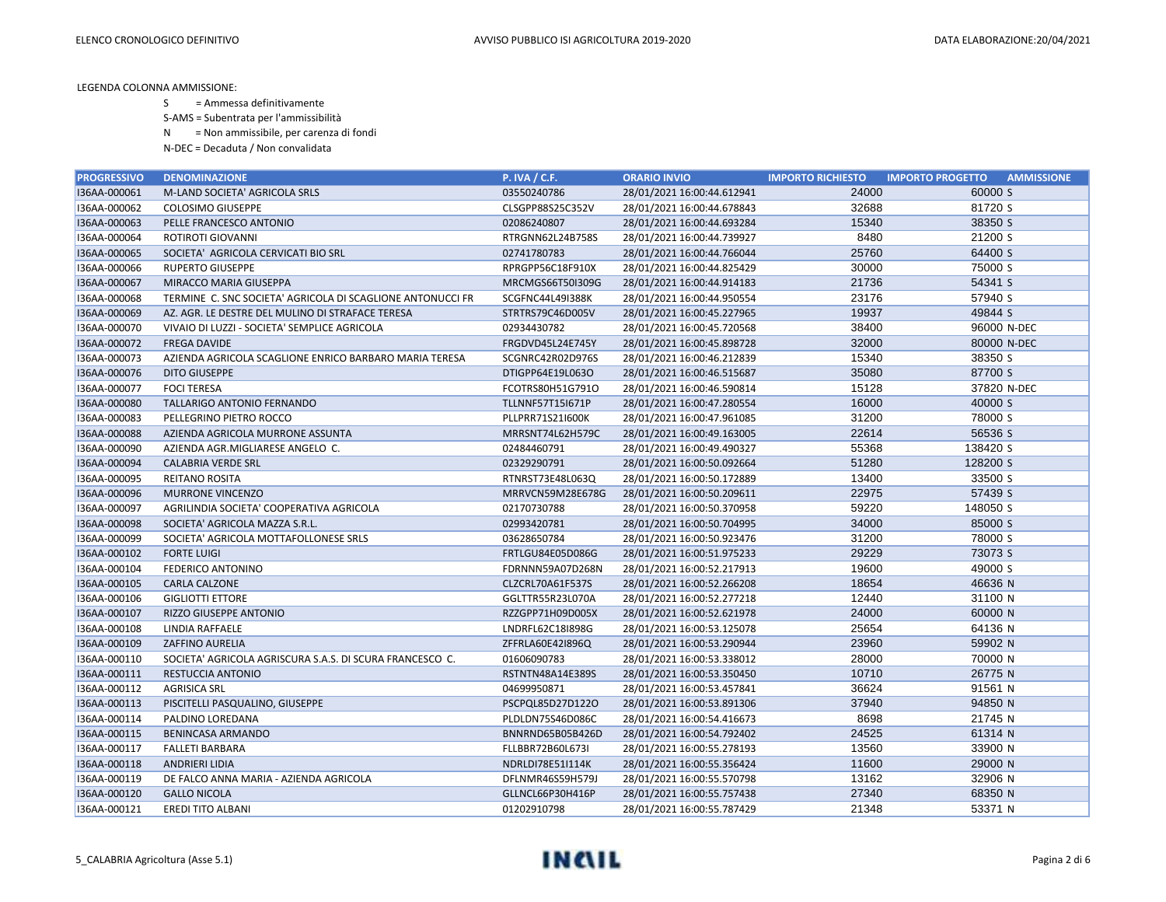S = Ammessa definitivamente

S-AMS = Subentrata per l'ammissibilità

N = Non ammissibile, per carenza di fondi

| <b>PROGRESSIVO</b> | <b>DENOMINAZIONE</b>                                       | <b>P. IVA / C.F.</b>    | <b>ORARIO INVIO</b>        | <b>IMPORTO RICHIESTO</b> | <b>IMPORTO PROGETTO</b><br><b>AMMISSIONE</b> |
|--------------------|------------------------------------------------------------|-------------------------|----------------------------|--------------------------|----------------------------------------------|
| I36AA-000061       | M-LAND SOCIETA' AGRICOLA SRLS                              | 03550240786             | 28/01/2021 16:00:44.612941 | 24000                    | 60000 S                                      |
| I36AA-000062       | <b>COLOSIMO GIUSEPPE</b>                                   | CLSGPP88S25C352V        | 28/01/2021 16:00:44.678843 | 32688                    | 81720 S                                      |
| I36AA-000063       | PELLE FRANCESCO ANTONIO                                    | 02086240807             | 28/01/2021 16:00:44.693284 | 15340                    | 38350 S                                      |
| I36AA-000064       | ROTIROTI GIOVANNI                                          | RTRGNN62L24B758S        | 28/01/2021 16:00:44.739927 | 8480                     | 21200 S                                      |
| I36AA-000065       | SOCIETA' AGRICOLA CERVICATI BIO SRL                        | 02741780783             | 28/01/2021 16:00:44.766044 | 25760                    | 64400 S                                      |
| I36AA-000066       | <b>RUPERTO GIUSEPPE</b>                                    | RPRGPP56C18F910X        | 28/01/2021 16:00:44.825429 | 30000                    | 75000 S                                      |
| I36AA-000067       | MIRACCO MARIA GIUSEPPA                                     | MRCMGS66T50I309G        | 28/01/2021 16:00:44.914183 | 21736                    | 54341 S                                      |
| I36AA-000068       | TERMINE C. SNC SOCIETA' AGRICOLA DI SCAGLIONE ANTONUCCI FR | SCGFNC44L49I388K        | 28/01/2021 16:00:44.950554 | 23176                    | 57940 S                                      |
| I36AA-000069       | AZ. AGR. LE DESTRE DEL MULINO DI STRAFACE TERESA           | STRTRS79C46D005V        | 28/01/2021 16:00:45.227965 | 19937                    | 49844 S                                      |
| I36AA-000070       | VIVAIO DI LUZZI - SOCIETA' SEMPLICE AGRICOLA               | 02934430782             | 28/01/2021 16:00:45.720568 | 38400                    | 96000 N-DEC                                  |
| I36AA-000072       | <b>FREGA DAVIDE</b>                                        | FRGDVD45L24E745Y        | 28/01/2021 16:00:45.898728 | 32000                    | 80000 N-DEC                                  |
| I36AA-000073       | AZIENDA AGRICOLA SCAGLIONE ENRICO BARBARO MARIA TERESA     | SCGNRC42R02D976S        | 28/01/2021 16:00:46.212839 | 15340                    | 38350 S                                      |
| I36AA-000076       | <b>DITO GIUSEPPE</b>                                       | DTIGPP64E19L063O        | 28/01/2021 16:00:46.515687 | 35080                    | 87700 S                                      |
| I36AA-000077       | <b>FOCI TERESA</b>                                         | FCOTRS80H51G791O        | 28/01/2021 16:00:46.590814 | 15128                    | 37820 N-DEC                                  |
| I36AA-000080       | TALLARIGO ANTONIO FERNANDO                                 | <b>TLLNNF57T15I671P</b> | 28/01/2021 16:00:47.280554 | 16000                    | 40000 S                                      |
| I36AA-000083       | PELLEGRINO PIETRO ROCCO                                    | PLLPRR71S21I600K        | 28/01/2021 16:00:47.961085 | 31200                    | 78000 S                                      |
| I36AA-000088       | AZIENDA AGRICOLA MURRONE ASSUNTA                           | MRRSNT74L62H579C        | 28/01/2021 16:00:49.163005 | 22614                    | 56536 S                                      |
| I36AA-000090       | AZIENDA AGR.MIGLIARESE ANGELO C.                           | 02484460791             | 28/01/2021 16:00:49.490327 | 55368                    | 138420 S                                     |
| I36AA-000094       | <b>CALABRIA VERDE SRL</b>                                  | 02329290791             | 28/01/2021 16:00:50.092664 | 51280                    | 128200 S                                     |
| I36AA-000095       | REITANO ROSITA                                             | RTNRST73E48L063Q        | 28/01/2021 16:00:50.172889 | 13400                    | 33500 S                                      |
| I36AA-000096       | <b>MURRONE VINCENZO</b>                                    | MRRVCN59M28E678G        | 28/01/2021 16:00:50.209611 | 22975                    | 57439 S                                      |
| I36AA-000097       | AGRILINDIA SOCIETA' COOPERATIVA AGRICOLA                   | 02170730788             | 28/01/2021 16:00:50.370958 | 59220                    | 148050 S                                     |
| I36AA-000098       | SOCIETA' AGRICOLA MAZZA S.R.L.                             | 02993420781             | 28/01/2021 16:00:50.704995 | 34000                    | 85000 S                                      |
| I36AA-000099       | SOCIETA' AGRICOLA MOTTAFOLLONESE SRLS                      | 03628650784             | 28/01/2021 16:00:50.923476 | 31200                    | 78000 S                                      |
| I36AA-000102       | <b>FORTE LUIGI</b>                                         | FRTLGU84E05D086G        | 28/01/2021 16:00:51.975233 | 29229                    | 73073 S                                      |
| I36AA-000104       | FEDERICO ANTONINO                                          | FDRNNN59A07D268N        | 28/01/2021 16:00:52.217913 | 19600                    | 49000 S                                      |
| I36AA-000105       | <b>CARLA CALZONE</b>                                       | CLZCRL70A61F537S        | 28/01/2021 16:00:52.266208 | 18654                    | 46636 N                                      |
| I36AA-000106       | <b>GIGLIOTTI ETTORE</b>                                    | GGLTTR55R23L070A        | 28/01/2021 16:00:52.277218 | 12440                    | 31100 N                                      |
| I36AA-000107       | <b>RIZZO GIUSEPPE ANTONIO</b>                              | RZZGPP71H09D005X        | 28/01/2021 16:00:52.621978 | 24000                    | 60000 N                                      |
| I36AA-000108       | LINDIA RAFFAELE                                            | LNDRFL62C18I898G        | 28/01/2021 16:00:53.125078 | 25654                    | 64136 N                                      |
| I36AA-000109       | <b>ZAFFINO AURELIA</b>                                     | ZFFRLA60E421896Q        | 28/01/2021 16:00:53.290944 | 23960                    | 59902 N                                      |
| I36AA-000110       | SOCIETA' AGRICOLA AGRISCURA S.A.S. DI SCURA FRANCESCO C.   | 01606090783             | 28/01/2021 16:00:53.338012 | 28000                    | 70000 N                                      |
| I36AA-000111       | RESTUCCIA ANTONIO                                          | RSTNTN48A14E389S        | 28/01/2021 16:00:53.350450 | 10710                    | 26775 N                                      |
| I36AA-000112       | <b>AGRISICA SRL</b>                                        | 04699950871             | 28/01/2021 16:00:53.457841 | 36624                    | 91561 N                                      |
| I36AA-000113       | PISCITELLI PASQUALINO, GIUSEPPE                            | PSCPQL85D27D122O        | 28/01/2021 16:00:53.891306 | 37940                    | 94850 N                                      |
| I36AA-000114       | PALDINO LOREDANA                                           | PLDLDN75S46D086C        | 28/01/2021 16:00:54.416673 | 8698                     | 21745 N                                      |
| I36AA-000115       | BENINCASA ARMANDO                                          | BNNRND65B05B426D        | 28/01/2021 16:00:54.792402 | 24525                    | 61314 N                                      |
| I36AA-000117       | <b>FALLETI BARBARA</b>                                     | FLLBBR72B60L673I        | 28/01/2021 16:00:55.278193 | 13560                    | 33900 N                                      |
| I36AA-000118       | <b>ANDRIERI LIDIA</b>                                      | NDRLDI78E51I114K        | 28/01/2021 16:00:55.356424 | 11600                    | 29000 N                                      |
| I36AA-000119       | DE FALCO ANNA MARIA - AZIENDA AGRICOLA                     | DFLNMR46S59H579J        | 28/01/2021 16:00:55.570798 | 13162                    | 32906 N                                      |
| I36AA-000120       | <b>GALLO NICOLA</b>                                        | GLLNCL66P30H416P        | 28/01/2021 16:00:55.757438 | 27340                    | 68350 N                                      |
| I36AA-000121       | <b>EREDI TITO ALBANI</b>                                   | 01202910798             | 28/01/2021 16:00:55.787429 | 21348                    | 53371 N                                      |

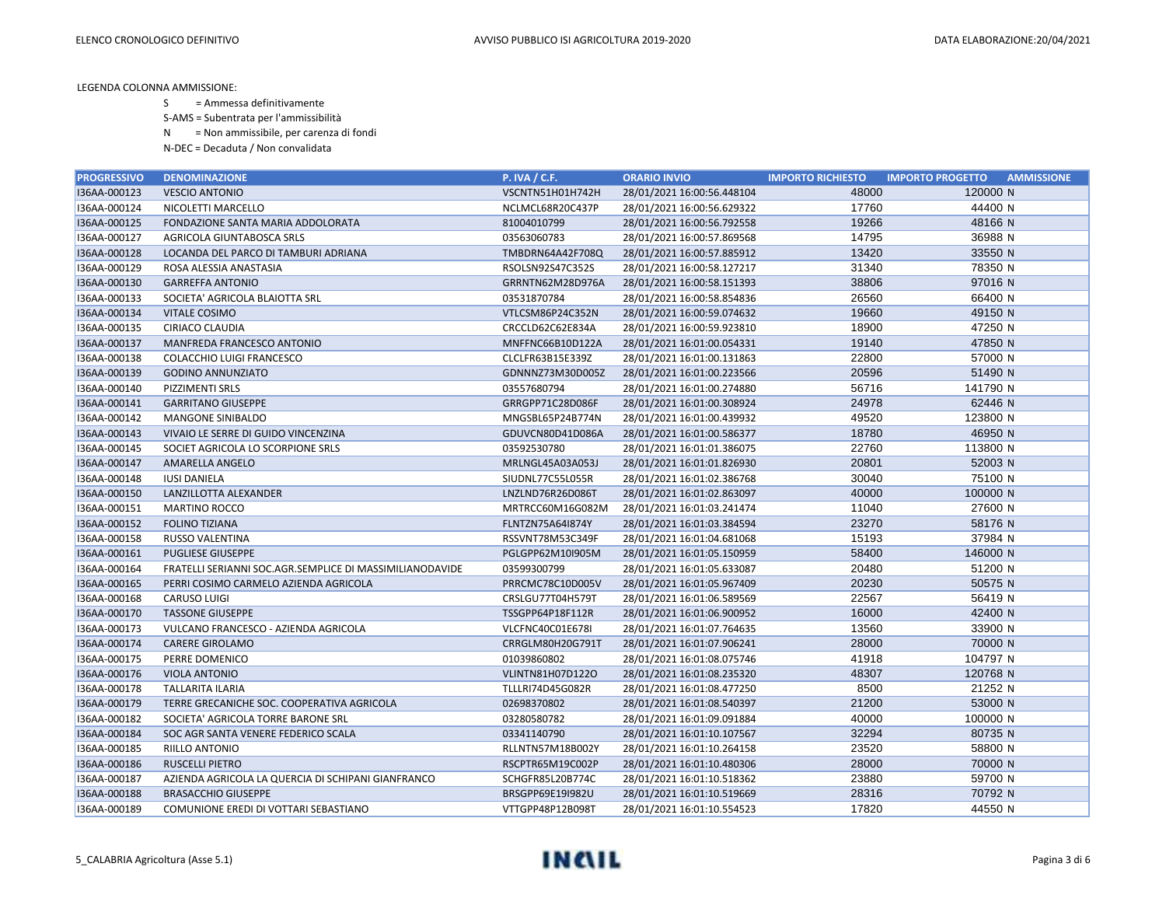S = Ammessa definitivamente

S-AMS = Subentrata per l'ammissibilità

N = Non ammissibile, per carenza di fondi

| <b>PROGRESSIVO</b> | <b>DENOMINAZIONE</b>                                     | <b>P. IVA / C.F.</b>    | <b>ORARIO INVIO</b>        | <b>IMPORTO RICHIESTO</b> | <b>IMPORTO PROGETTO</b><br><b>AMMISSIONE</b> |
|--------------------|----------------------------------------------------------|-------------------------|----------------------------|--------------------------|----------------------------------------------|
| I36AA-000123       | <b>VESCIO ANTONIO</b>                                    | VSCNTN51H01H742H        | 28/01/2021 16:00:56.448104 | 48000                    | 120000 N                                     |
| I36AA-000124       | NICOLETTI MARCELLO                                       | NCLMCL68R20C437P        | 28/01/2021 16:00:56.629322 | 17760                    | 44400 N                                      |
| I36AA-000125       | FONDAZIONE SANTA MARIA ADDOLORATA                        | 81004010799             | 28/01/2021 16:00:56.792558 | 19266                    | 48166 N                                      |
| I36AA-000127       | AGRICOLA GIUNTABOSCA SRLS                                | 03563060783             | 28/01/2021 16:00:57.869568 | 14795                    | 36988 N                                      |
| I36AA-000128       | LOCANDA DEL PARCO DI TAMBURI ADRIANA                     | TMBDRN64A42F708Q        | 28/01/2021 16:00:57.885912 | 13420                    | 33550 N                                      |
| I36AA-000129       | ROSA ALESSIA ANASTASIA                                   | RSOLSN92S47C352S        | 28/01/2021 16:00:58.127217 | 31340                    | 78350 N                                      |
| I36AA-000130       | <b>GARREFFA ANTONIO</b>                                  | GRRNTN62M28D976A        | 28/01/2021 16:00:58.151393 | 38806                    | 97016 N                                      |
| I36AA-000133       | SOCIETA' AGRICOLA BLAIOTTA SRL                           | 03531870784             | 28/01/2021 16:00:58.854836 | 26560                    | 66400 N                                      |
| I36AA-000134       | <b>VITALE COSIMO</b>                                     | VTLCSM86P24C352N        | 28/01/2021 16:00:59.074632 | 19660                    | 49150 N                                      |
| I36AA-000135       | CIRIACO CLAUDIA                                          | CRCCLD62C62E834A        | 28/01/2021 16:00:59.923810 | 18900                    | 47250 N                                      |
| I36AA-000137       | MANFREDA FRANCESCO ANTONIO                               | MNFFNC66B10D122A        | 28/01/2021 16:01:00.054331 | 19140                    | 47850 N                                      |
| I36AA-000138       | COLACCHIO LUIGI FRANCESCO                                | CLCLFR63B15E339Z        | 28/01/2021 16:01:00.131863 | 22800                    | 57000 N                                      |
| I36AA-000139       | <b>GODINO ANNUNZIATO</b>                                 | GDNNNZ73M30D005Z        | 28/01/2021 16:01:00.223566 | 20596                    | 51490 N                                      |
| I36AA-000140       | PIZZIMENTI SRLS                                          | 03557680794             | 28/01/2021 16:01:00.274880 | 56716                    | 141790 N                                     |
| I36AA-000141       | <b>GARRITANO GIUSEPPE</b>                                | GRRGPP71C28D086F        | 28/01/2021 16:01:00.308924 | 24978                    | 62446 N                                      |
| I36AA-000142       | <b>MANGONE SINIBALDO</b>                                 | MNGSBL65P24B774N        | 28/01/2021 16:01:00.439932 | 49520                    | 123800 N                                     |
| I36AA-000143       | VIVAIO LE SERRE DI GUIDO VINCENZINA                      | GDUVCN80D41D086A        | 28/01/2021 16:01:00.586377 | 18780                    | 46950 N                                      |
| I36AA-000145       | SOCIET AGRICOLA LO SCORPIONE SRLS                        | 03592530780             | 28/01/2021 16:01:01.386075 | 22760                    | 113800 N                                     |
| I36AA-000147       | <b>AMARELLA ANGELO</b>                                   | MRLNGL45A03A053J        | 28/01/2021 16:01:01.826930 | 20801                    | 52003 N                                      |
| I36AA-000148       | <b>IUSI DANIELA</b>                                      | SIUDNL77C55L055R        | 28/01/2021 16:01:02.386768 | 30040                    | 75100 N                                      |
| I36AA-000150       | LANZILLOTTA ALEXANDER                                    | LNZLND76R26D086T        | 28/01/2021 16:01:02.863097 | 40000                    | 100000 N                                     |
| I36AA-000151       | <b>MARTINO ROCCO</b>                                     | MRTRCC60M16G082M        | 28/01/2021 16:01:03.241474 | 11040                    | 27600 N                                      |
| I36AA-000152       | <b>FOLINO TIZIANA</b>                                    | FLNTZN75A64I874Y        | 28/01/2021 16:01:03.384594 | 23270                    | 58176 N                                      |
| I36AA-000158       | RUSSO VALENTINA                                          | RSSVNT78M53C349F        | 28/01/2021 16:01:04.681068 | 15193                    | 37984 N                                      |
| I36AA-000161       | <b>PUGLIESE GIUSEPPE</b>                                 | PGLGPP62M10I905M        | 28/01/2021 16:01:05.150959 | 58400                    | 146000 N                                     |
| I36AA-000164       | FRATELLI SERIANNI SOC.AGR.SEMPLICE DI MASSIMILIANODAVIDE | 03599300799             | 28/01/2021 16:01:05.633087 | 20480                    | 51200 N                                      |
| I36AA-000165       | PERRI COSIMO CARMELO AZIENDA AGRICOLA                    | PRRCMC78C10D005V        | 28/01/2021 16:01:05.967409 | 20230                    | 50575 N                                      |
| I36AA-000168       | <b>CARUSO LUIGI</b>                                      | CRSLGU77T04H579T        | 28/01/2021 16:01:06.589569 | 22567                    | 56419 N                                      |
| I36AA-000170       | <b>TASSONE GIUSEPPE</b>                                  | TSSGPP64P18F112R        | 28/01/2021 16:01:06.900952 | 16000                    | 42400 N                                      |
| I36AA-000173       | VULCANO FRANCESCO - AZIENDA AGRICOLA                     | VLCFNC40C01E678I        | 28/01/2021 16:01:07.764635 | 13560                    | 33900 N                                      |
| I36AA-000174       | <b>CARERE GIROLAMO</b>                                   | CRRGLM80H20G791T        | 28/01/2021 16:01:07.906241 | 28000                    | 70000 N                                      |
| I36AA-000175       | PERRE DOMENICO                                           | 01039860802             | 28/01/2021 16:01:08.075746 | 41918                    | 104797 N                                     |
| I36AA-000176       | <b>VIOLA ANTONIO</b>                                     | VLINTN81H07D122O        | 28/01/2021 16:01:08.235320 | 48307                    | 120768 N                                     |
| I36AA-000178       | TALLARITA ILARIA                                         | <b>TLLLRI74D45G082R</b> | 28/01/2021 16:01:08.477250 | 8500                     | 21252 N                                      |
| I36AA-000179       | TERRE GRECANICHE SOC. COOPERATIVA AGRICOLA               | 02698370802             | 28/01/2021 16:01:08.540397 | 21200                    | 53000 N                                      |
| I36AA-000182       | SOCIETA' AGRICOLA TORRE BARONE SRL                       | 03280580782             | 28/01/2021 16:01:09.091884 | 40000                    | 100000 N                                     |
| I36AA-000184       | SOC AGR SANTA VENERE FEDERICO SCALA                      | 03341140790             | 28/01/2021 16:01:10.107567 | 32294                    | 80735 N                                      |
| I36AA-000185       | RIILLO ANTONIO                                           | RLLNTN57M18B002Y        | 28/01/2021 16:01:10.264158 | 23520                    | 58800 N                                      |
| I36AA-000186       | <b>RUSCELLI PIETRO</b>                                   | RSCPTR65M19C002P        | 28/01/2021 16:01:10.480306 | 28000                    | 70000 N                                      |
| I36AA-000187       | AZIENDA AGRICOLA LA QUERCIA DI SCHIPANI GIANFRANCO       | SCHGFR85L20B774C        | 28/01/2021 16:01:10.518362 | 23880                    | 59700 N                                      |
| I36AA-000188       | <b>BRASACCHIO GIUSEPPE</b>                               | BRSGPP69E19I982U        | 28/01/2021 16:01:10.519669 | 28316                    | 70792 N                                      |
| I36AA-000189       | COMUNIONE EREDI DI VOTTARI SEBASTIANO                    | VTTGPP48P12B098T        | 28/01/2021 16:01:10.554523 | 17820                    | 44550 N                                      |

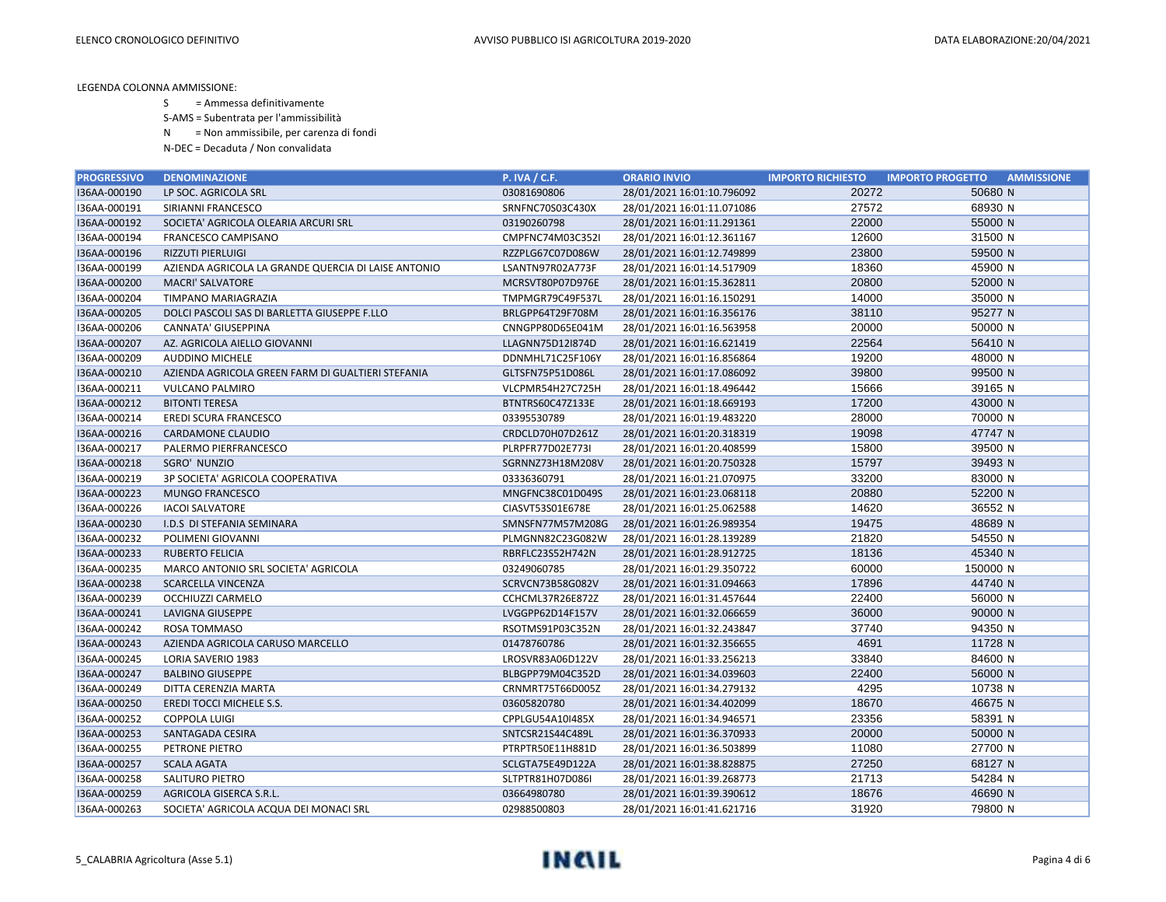S = Ammessa definitivamente

S-AMS = Subentrata per l'ammissibilità

N = Non ammissibile, per carenza di fondi

| <b>PROGRESSIVO</b> | <b>DENOMINAZIONE</b>                                | <b>P. IVA / C.F.</b> | <b>ORARIO INVIO</b>        | <b>IMPORTO RICHIESTO</b> | <b>IMPORTO PROGETTO</b><br><b>AMMISSIONE</b> |
|--------------------|-----------------------------------------------------|----------------------|----------------------------|--------------------------|----------------------------------------------|
| I36AA-000190       | LP SOC. AGRICOLA SRL                                | 03081690806          | 28/01/2021 16:01:10.796092 | 20272                    | 50680 N                                      |
| I36AA-000191       | SIRIANNI FRANCESCO                                  | SRNFNC70S03C430X     | 28/01/2021 16:01:11.071086 | 27572                    | 68930 N                                      |
| I36AA-000192       | SOCIETA' AGRICOLA OLEARIA ARCURI SRL                | 03190260798          | 28/01/2021 16:01:11.291361 | 22000                    | 55000 N                                      |
| I36AA-000194       | FRANCESCO CAMPISANO                                 | CMPFNC74M03C352I     | 28/01/2021 16:01:12.361167 | 12600                    | 31500 N                                      |
| I36AA-000196       | <b>RIZZUTI PIERLUIGI</b>                            | RZZPLG67C07D086W     | 28/01/2021 16:01:12.749899 | 23800                    | 59500 N                                      |
| I36AA-000199       | AZIENDA AGRICOLA LA GRANDE QUERCIA DI LAISE ANTONIO | LSANTN97R02A773F     | 28/01/2021 16:01:14.517909 | 18360                    | 45900 N                                      |
| I36AA-000200       | <b>MACRI' SALVATORE</b>                             | MCRSVT80P07D976E     | 28/01/2021 16:01:15.362811 | 20800                    | 52000 N                                      |
| I36AA-000204       | TIMPANO MARIAGRAZIA                                 | TMPMGR79C49F537L     | 28/01/2021 16:01:16.150291 | 14000                    | 35000 N                                      |
| I36AA-000205       | DOLCI PASCOLI SAS DI BARLETTA GIUSEPPE F.LLO        | BRLGPP64T29F708M     | 28/01/2021 16:01:16.356176 | 38110                    | 95277 N                                      |
| I36AA-000206       | CANNATA' GIUSEPPINA                                 | CNNGPP80D65E041M     | 28/01/2021 16:01:16.563958 | 20000                    | 50000 N                                      |
| I36AA-000207       | AZ. AGRICOLA AIELLO GIOVANNI                        | LLAGNN75D12I874D     | 28/01/2021 16:01:16.621419 | 22564                    | 56410 N                                      |
| I36AA-000209       | <b>AUDDINO MICHELE</b>                              | DDNMHL71C25F106Y     | 28/01/2021 16:01:16.856864 | 19200                    | 48000 N                                      |
| I36AA-000210       | AZIENDA AGRICOLA GREEN FARM DI GUALTIERI STEFANIA   | GLTSFN75P51D086L     | 28/01/2021 16:01:17.086092 | 39800                    | 99500 N                                      |
| I36AA-000211       | VULCANO PALMIRO                                     | VLCPMR54H27C725H     | 28/01/2021 16:01:18.496442 | 15666                    | 39165 N                                      |
| I36AA-000212       | <b>BITONTI TERESA</b>                               | BTNTRS60C47Z133E     | 28/01/2021 16:01:18.669193 | 17200                    | 43000 N                                      |
| I36AA-000214       | EREDI SCURA FRANCESCO                               | 03395530789          | 28/01/2021 16:01:19.483220 | 28000                    | 70000 N                                      |
| I36AA-000216       | CARDAMONE CLAUDIO                                   | CRDCLD70H07D261Z     | 28/01/2021 16:01:20.318319 | 19098                    | 47747 N                                      |
| I36AA-000217       | PALERMO PIERFRANCESCO                               | PLRPFR77D02E773I     | 28/01/2021 16:01:20.408599 | 15800                    | 39500 N                                      |
| I36AA-000218       | SGRO' NUNZIO                                        | SGRNNZ73H18M208V     | 28/01/2021 16:01:20.750328 | 15797                    | 39493 N                                      |
| I36AA-000219       | 3P SOCIETA' AGRICOLA COOPERATIVA                    | 03336360791          | 28/01/2021 16:01:21.070975 | 33200                    | 83000 N                                      |
| I36AA-000223       | <b>MUNGO FRANCESCO</b>                              | MNGFNC38C01D049S     | 28/01/2021 16:01:23.068118 | 20880                    | 52200 N                                      |
| I36AA-000226       | <b>IACOI SALVATORE</b>                              | CIASVT53S01E678E     | 28/01/2021 16:01:25.062588 | 14620                    | 36552 N                                      |
| I36AA-000230       | I.D.S DI STEFANIA SEMINARA                          | SMNSFN77M57M208G     | 28/01/2021 16:01:26.989354 | 19475                    | 48689 N                                      |
| I36AA-000232       | POLIMENI GIOVANNI                                   | PLMGNN82C23G082W     | 28/01/2021 16:01:28.139289 | 21820                    | 54550 N                                      |
| I36AA-000233       | <b>RUBERTO FELICIA</b>                              | RBRFLC23S52H742N     | 28/01/2021 16:01:28.912725 | 18136                    | 45340 N                                      |
| I36AA-000235       | MARCO ANTONIO SRL SOCIETA' AGRICOLA                 | 03249060785          | 28/01/2021 16:01:29.350722 | 60000                    | 150000 N                                     |
| I36AA-000238       | <b>SCARCELLA VINCENZA</b>                           | SCRVCN73B58G082V     | 28/01/2021 16:01:31.094663 | 17896                    | 44740 N                                      |
| I36AA-000239       | OCCHIUZZI CARMELO                                   | CCHCML37R26E872Z     | 28/01/2021 16:01:31.457644 | 22400                    | 56000 N                                      |
| I36AA-000241       | LAVIGNA GIUSEPPE                                    | LVGGPP62D14F157V     | 28/01/2021 16:01:32.066659 | 36000                    | 90000 N                                      |
| I36AA-000242       | ROSA TOMMASO                                        | RSOTMS91P03C352N     | 28/01/2021 16:01:32.243847 | 37740                    | 94350 N                                      |
| I36AA-000243       | AZIENDA AGRICOLA CARUSO MARCELLO                    | 01478760786          | 28/01/2021 16:01:32.356655 | 4691                     | 11728 N                                      |
| I36AA-000245       | LORIA SAVERIO 1983                                  | LROSVR83A06D122V     | 28/01/2021 16:01:33.256213 | 33840                    | 84600 N                                      |
| I36AA-000247       | <b>BALBINO GIUSEPPE</b>                             | BLBGPP79M04C352D     | 28/01/2021 16:01:34.039603 | 22400                    | 56000 N                                      |
| I36AA-000249       | DITTA CERENZIA MARTA                                | CRNMRT75T66D005Z     | 28/01/2021 16:01:34.279132 | 4295                     | 10738 N                                      |
| I36AA-000250       | EREDI TOCCI MICHELE S.S.                            | 03605820780          | 28/01/2021 16:01:34.402099 | 18670                    | 46675 N                                      |
| I36AA-000252       | <b>COPPOLA LUIGI</b>                                | CPPLGU54A10I485X     | 28/01/2021 16:01:34.946571 | 23356                    | 58391 N                                      |
| I36AA-000253       | SANTAGADA CESIRA                                    | SNTCSR21S44C489L     | 28/01/2021 16:01:36.370933 | 20000                    | 50000 N                                      |
| I36AA-000255       | PETRONE PIETRO                                      | PTRPTR50E11H881D     | 28/01/2021 16:01:36.503899 | 11080                    | 27700 N                                      |
| I36AA-000257       | <b>SCALA AGATA</b>                                  | SCLGTA75E49D122A     | 28/01/2021 16:01:38.828875 | 27250                    | 68127 N                                      |
| I36AA-000258       | <b>SALITURO PIETRO</b>                              | SLTPTR81H07D086I     | 28/01/2021 16:01:39.268773 | 21713                    | 54284 N                                      |
| I36AA-000259       | AGRICOLA GISERCA S.R.L.                             | 03664980780          | 28/01/2021 16:01:39.390612 | 18676                    | 46690 N                                      |
| I36AA-000263       | SOCIETA' AGRICOLA ACQUA DEI MONACI SRL              | 02988500803          | 28/01/2021 16:01:41.621716 | 31920                    | 79800 N                                      |

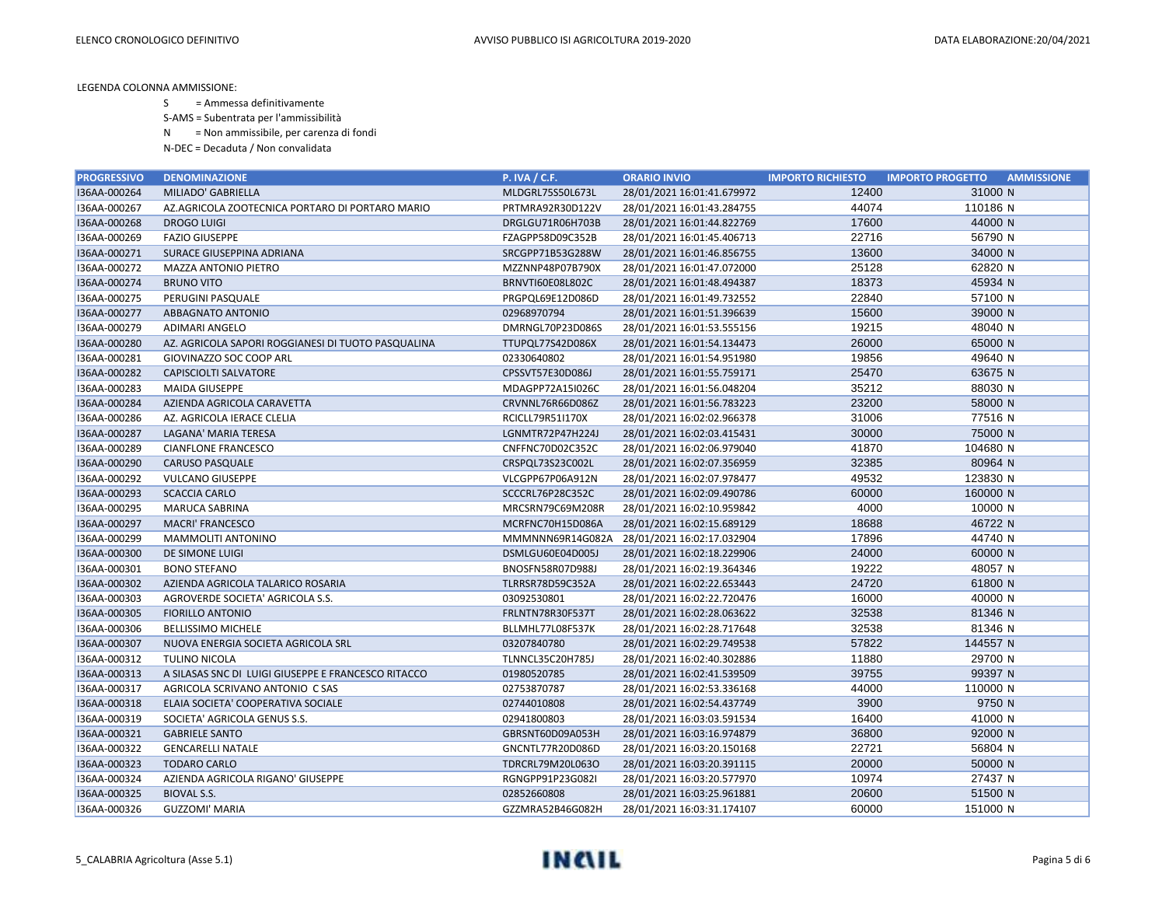S = Ammessa definitivamente

S-AMS = Subentrata per l'ammissibilità

N = Non ammissibile, per carenza di fondi

| <b>PROGRESSIVO</b> | <b>DENOMINAZIONE</b>                                | <b>P. IVA / C.F.</b>    | <b>ORARIO INVIO</b>        | <b>IMPORTO RICHIESTO</b> | <b>AMMISSIONE</b><br><b>IMPORTO PROGETTO</b> |
|--------------------|-----------------------------------------------------|-------------------------|----------------------------|--------------------------|----------------------------------------------|
| I36AA-000264       | MILIADO' GABRIELLA                                  | MLDGRL75S50L673L        | 28/01/2021 16:01:41.679972 | 12400                    | 31000 N                                      |
| I36AA-000267       | AZ.AGRICOLA ZOOTECNICA PORTARO DI PORTARO MARIO     | PRTMRA92R30D122V        | 28/01/2021 16:01:43.284755 | 44074                    | 110186 N                                     |
| I36AA-000268       | <b>DROGO LUIGI</b>                                  | DRGLGU71R06H703B        | 28/01/2021 16:01:44.822769 | 17600                    | 44000 N                                      |
| I36AA-000269       | <b>FAZIO GIUSEPPE</b>                               | FZAGPP58D09C352B        | 28/01/2021 16:01:45.406713 | 22716                    | 56790 N                                      |
| I36AA-000271       | <b>SURACE GIUSEPPINA ADRIANA</b>                    | SRCGPP71B53G288W        | 28/01/2021 16:01:46.856755 | 13600                    | 34000 N                                      |
| I36AA-000272       | <b>MAZZA ANTONIO PIETRO</b>                         | MZZNNP48P07B790X        | 28/01/2021 16:01:47.072000 | 25128                    | 62820 N                                      |
| I36AA-000274       | <b>BRUNO VITO</b>                                   | BRNVTI60E08L802C        | 28/01/2021 16:01:48.494387 | 18373                    | 45934 N                                      |
| I36AA-000275       | PERUGINI PASQUALE                                   | PRGPQL69E12D086D        | 28/01/2021 16:01:49.732552 | 22840                    | 57100 N                                      |
| I36AA-000277       | ABBAGNATO ANTONIO                                   | 02968970794             | 28/01/2021 16:01:51.396639 | 15600                    | 39000 N                                      |
| I36AA-000279       | <b>ADIMARI ANGELO</b>                               | DMRNGL70P23D086S        | 28/01/2021 16:01:53.555156 | 19215                    | 48040 N                                      |
| I36AA-000280       | AZ. AGRICOLA SAPORI ROGGIANESI DI TUOTO PASQUALINA  | TTUPQL77S42D086X        | 28/01/2021 16:01:54.134473 | 26000                    | 65000 N                                      |
| I36AA-000281       | GIOVINAZZO SOC COOP ARL                             | 02330640802             | 28/01/2021 16:01:54.951980 | 19856                    | 49640 N                                      |
| I36AA-000282       | <b>CAPISCIOLTI SALVATORE</b>                        | CPSSVT57E30D086J        | 28/01/2021 16:01:55.759171 | 25470                    | 63675 N                                      |
| I36AA-000283       | <b>MAIDA GIUSEPPE</b>                               | MDAGPP72A15I026C        | 28/01/2021 16:01:56.048204 | 35212                    | 88030 N                                      |
| I36AA-000284       | AZIENDA AGRICOLA CARAVETTA                          | CRVNNL76R66D086Z        | 28/01/2021 16:01:56.783223 | 23200                    | 58000 N                                      |
| I36AA-000286       | AZ. AGRICOLA IERACE CLELIA                          | RCICLL79R51I170X        | 28/01/2021 16:02:02.966378 | 31006                    | 77516 N                                      |
| I36AA-000287       | LAGANA' MARIA TERESA                                | LGNMTR72P47H224J        | 28/01/2021 16:02:03.415431 | 30000                    | 75000 N                                      |
| I36AA-000289       | <b>CIANFLONE FRANCESCO</b>                          | CNFFNC70D02C352C        | 28/01/2021 16:02:06.979040 | 41870                    | 104680 N                                     |
| I36AA-000290       | <b>CARUSO PASQUALE</b>                              | CRSPQL73S23C002L        | 28/01/2021 16:02:07.356959 | 32385                    | 80964 N                                      |
| I36AA-000292       | <b>VULCANO GIUSEPPE</b>                             | VLCGPP67P06A912N        | 28/01/2021 16:02:07.978477 | 49532                    | 123830 N                                     |
| I36AA-000293       | <b>SCACCIA CARLO</b>                                | SCCCRL76P28C352C        | 28/01/2021 16:02:09.490786 | 60000                    | 160000 N                                     |
| I36AA-000295       | MARUCA SABRINA                                      | MRCSRN79C69M208R        | 28/01/2021 16:02:10.959842 | 4000                     | 10000 N                                      |
| I36AA-000297       | <b>MACRI' FRANCESCO</b>                             | MCRFNC70H15D086A        | 28/01/2021 16:02:15.689129 | 18688                    | 46722 N                                      |
| I36AA-000299       | MAMMOLITI ANTONINO                                  | MMMNNN69R14G082A        | 28/01/2021 16:02:17.032904 | 17896                    | 44740 N                                      |
| I36AA-000300       | DE SIMONE LUIGI                                     | DSMLGU60E04D005J        | 28/01/2021 16:02:18.229906 | 24000                    | 60000 N                                      |
| I36AA-000301       | <b>BONO STEFANO</b>                                 | BNOSFN58R07D988J        | 28/01/2021 16:02:19.364346 | 19222                    | 48057 N                                      |
| I36AA-000302       | AZIENDA AGRICOLA TALARICO ROSARIA                   | TLRRSR78D59C352A        | 28/01/2021 16:02:22.653443 | 24720                    | 61800 N                                      |
| I36AA-000303       | AGROVERDE SOCIETA' AGRICOLA S.S.                    | 03092530801             | 28/01/2021 16:02:22.720476 | 16000                    | 40000 N                                      |
| I36AA-000305       | <b>FIORILLO ANTONIO</b>                             | FRLNTN78R30F537T        | 28/01/2021 16:02:28.063622 | 32538                    | 81346 N                                      |
| I36AA-000306       | <b>BELLISSIMO MICHELE</b>                           | BLLMHL77L08F537K        | 28/01/2021 16:02:28.717648 | 32538                    | 81346 N                                      |
| I36AA-000307       | NUOVA ENERGIA SOCIETA AGRICOLA SRL                  | 03207840780             | 28/01/2021 16:02:29.749538 | 57822                    | 144557 N                                     |
| I36AA-000312       | <b>TULINO NICOLA</b>                                | <b>TLNNCL35C20H785J</b> | 28/01/2021 16:02:40.302886 | 11880                    | 29700 N                                      |
| I36AA-000313       | A SILASAS SNC DI LUIGI GIUSEPPE E FRANCESCO RITACCO | 01980520785             | 28/01/2021 16:02:41.539509 | 39755                    | 99397 N                                      |
| I36AA-000317       | AGRICOLA SCRIVANO ANTONIO C SAS                     | 02753870787             | 28/01/2021 16:02:53.336168 | 44000                    | 110000 N                                     |
| I36AA-000318       | ELAIA SOCIETA' COOPERATIVA SOCIALE                  | 02744010808             | 28/01/2021 16:02:54.437749 | 3900                     | 9750 N                                       |
| I36AA-000319       | SOCIETA' AGRICOLA GENUS S.S.                        | 02941800803             | 28/01/2021 16:03:03.591534 | 16400                    | 41000 N                                      |
| I36AA-000321       | <b>GABRIELE SANTO</b>                               | GBRSNT60D09A053H        | 28/01/2021 16:03:16.974879 | 36800                    | 92000 N                                      |
| I36AA-000322       | <b>GENCARELLI NATALE</b>                            | GNCNTL77R20D086D        | 28/01/2021 16:03:20.150168 | 22721                    | 56804 N                                      |
| I36AA-000323       | <b>TODARO CARLO</b>                                 | TDRCRL79M20L063O        | 28/01/2021 16:03:20.391115 | 20000                    | 50000 N                                      |
| I36AA-000324       | AZIENDA AGRICOLA RIGANO' GIUSEPPE                   | RGNGPP91P23G082I        | 28/01/2021 16:03:20.577970 | 10974                    | 27437 N                                      |
| I36AA-000325       | <b>BIOVAL S.S.</b>                                  | 02852660808             | 28/01/2021 16:03:25.961881 | 20600                    | 51500 N                                      |
| I36AA-000326       | <b>GUZZOMI' MARIA</b>                               | GZZMRA52B46G082H        | 28/01/2021 16:03:31.174107 | 60000                    | 151000 N                                     |